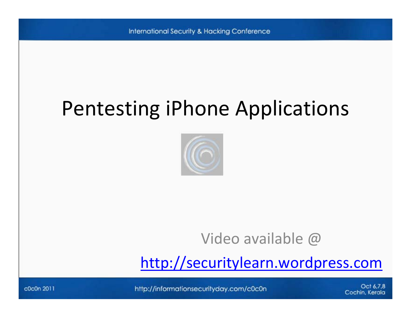## Pentesting iPhone Applications



#### Video available @

[http://securitylearn.wordpress.com](http://securitylearn.wordpress.com/)

http://informationsecurityday.com/c0c0n

Oct 6.7.8 Cochin, Kerala

c0c0n 2011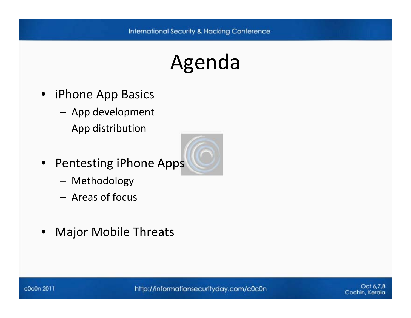# Agenda

- iPhone App Basics
	- – $-$  App development
	- and the state of the state  $-$  App distribution
- Pentesting iPhone Apps
	- and the state of the state Methodology
	- Areas of focus
- •Major Mobile Threats

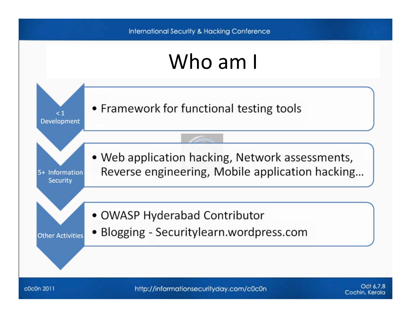#### Who am I



c0c0n 2011

http://informationsecurityday.com/c0c0n

Odi 6.7.8 Cochin, Kerala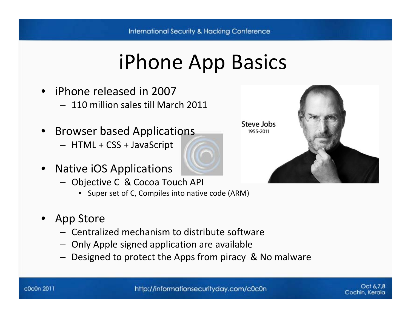# iPhone App Basics

- iPhone released in 2007
	- 110 million sales till March 2011
- Browser based Applications
	- HTML <sup>+</sup> CSS <sup>+</sup> JavaScript
- •• Native iOS Applications
	- Objective C & Cocoa Touch API
		- Super set of C, Compiles into native code (ARM)
- App Store
	- Centralized mechanism to distribute software
	- Only Apple signed application are available
	- Designed to protect the Apps from piracy & No malware

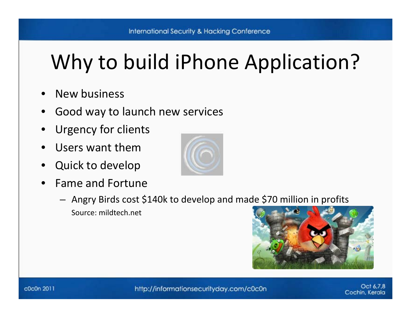# Why to build iPhone Application?

- •• New business
- •• Good way to launch new services
- •Urgency for clients
- •Users want them
- •Quick to develop
- •• Fame and Fortune



 $-$  Angry Birds cost \$140k to develop and made \$70 million in profits Source: mildtech.net



http://informationsecurityday.com/c0c0n

Oct 6.7.8 Cochin, Kerala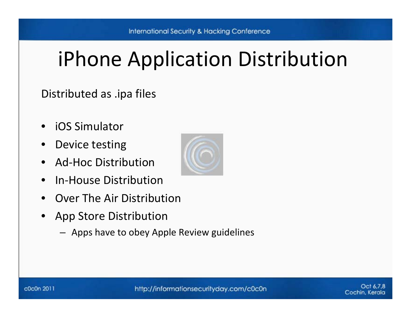# iPhone Application Distribution

#### Distributed as .ipa files

- •iOS Simulator
- •Device testing
- •● Ad-Hoc Distribution
- •● In-House Distribution
- •Over The Air Distribution
- • App Store Distribution
	- Apps have to obey Apple Review guidelines

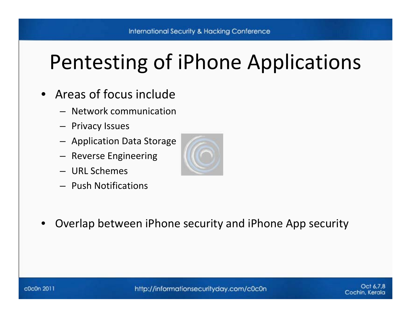# Pentesting of iPhone Applications

- Areas of focus include
	- Network communication
	- Privacy Issues
	- Application Data Storage
	- Reverse Engineering
	- URL Schemes
	- Push Notifications



•Overlap between iPhone security and iPhone App security

http://informationsecurityday.com/c0c0n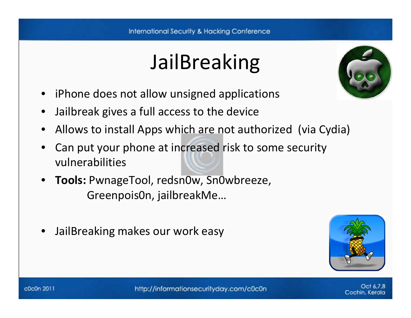# JailBreaking



- •iPhone does not allow unsigned applications
- •Jailbreak gives <sup>a</sup> full access to the device
- •Allows to install Apps which are not authorized (via Cydia)
- • Can put your phone at increased risk to some security vulnerabilities
- **Tools:** PwnageTool, redsn0w, Sn0wbreeze, Greenpois0n, jailbreakMe…
- •JailBreaking makes our work easy



Cochin, Kerala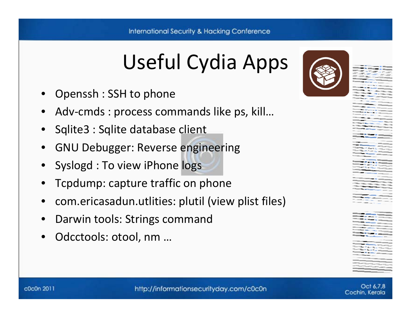# Useful Cydia Apps

- •Openssh : SSH to phone
- •Adv‐cmds : process commands like ps, kill…
- •Sqlite3 : Sqlite database client
- •**•** GNU Debugger: Reverse engineering
- •Syslogd : To view iPhone logs
- •Tcpdump: capture traffic on phone
- •com.ericasadun.utlities: plutil (view plist files)
- •Darwin tools: Strings command
- •Odcctools: otool, nm …



Oct 6.7.8 Cochin, Kerala

http://informationsecurityday.com/c0c0n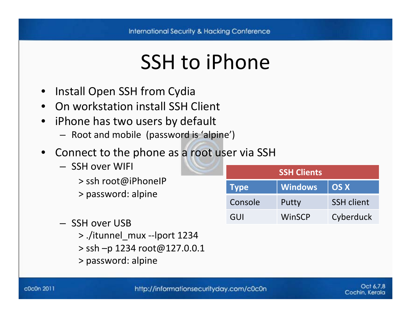#### SSH to iPhone

- Install Open SSH from Cydia
- •**•** On workstation install SSH Client
- • iPhone has two users by default
	- Root and mobile (password is 'alpine')
- Connect to the phone as <sup>a</sup> root user via SSH
	- SSH over WIFI
		- > ssh root@iPhoneIP
		- > password: alpine
	- SSH over USB
		- > ./itunnel\_mux ‐‐lport 1234
		- > ssh –p 1234 root@127.0.0.1
		- > password: alpine

| <b>SSH Clients</b> |                |                   |  |
|--------------------|----------------|-------------------|--|
| <b>Type</b>        | <b>Windows</b> | <b>OS X</b>       |  |
| Console            | Putty          | <b>SSH client</b> |  |
| GUI                | WinSCP         | Cyberduck         |  |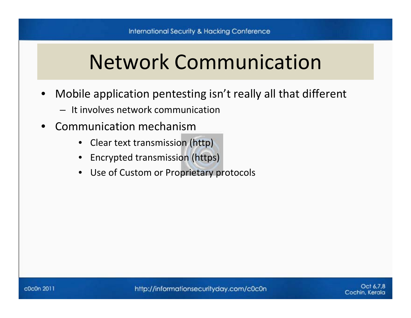# Network Communication

- • Mobile application pentesting isn't really all that different
	- It involves network communication
- •**•** Communication mechanism
	- •• Clear text transmission (http)
	- •Encrypted transmission (https)
	- •Use of Custom or Proprietary protocols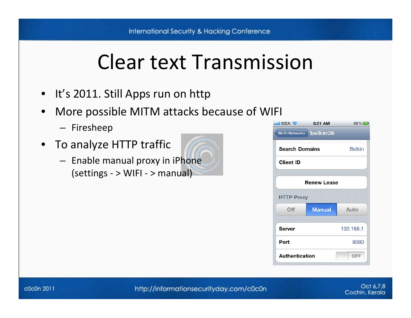# Clear text Transmission

- It's 2011. Still Apps run on http
- • More possible MITM attacks because of WIFI
	- Firesheep
- To analyze HTTP traffic
	- Enable manual proxy in iPhone (settings ‐ <sup>&</sup>gt; WIFI ‐ <sup>&</sup>gt; manual)

| <b>millIDEA 중</b>     | 6:51 AM            | $89\%$        |
|-----------------------|--------------------|---------------|
| <b>Wi-Fi Networks</b> | belkin36           |               |
| <b>Search Domains</b> |                    | <b>Belkin</b> |
| <b>Client ID</b>      |                    |               |
|                       | <b>Renew Lease</b> |               |
| <b>HTTP Proxy</b>     |                    |               |
| Off                   | <b>Manual</b>      | Auto          |
| Server                |                    | 192.168.1     |
| Port                  |                    | 8080          |
|                       |                    |               |

http://informationsecurityday.com/c0c0n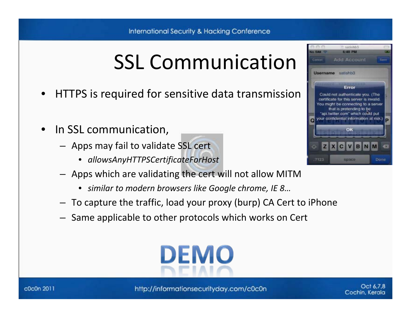# SSL Communication

- •HTTPS is required for sensitive data transmission
- •• In SSL communication,
	- Apps may fail to validate SSL cert
		- *allowsAnyHTTPSCertificateForHost*
	- Apps which are validating the cert will not allow MITM
		- *similar to modern browsers like Google chrome, IE 8…*
	- To capture the traffic, load your proxy (burp) CA Cert to iPhone
	- Same applicable to other protocols which works on Cert





c0c0n 2011

http://informationsecurityday.com/c0c0n

Oct 6.7.8 Cochin, Kerala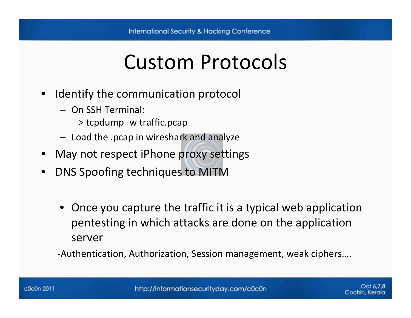#### Custom Protocols

- • Identify the communication protocol
	- On SSH Terminal:
		- > tcpdump ‐<sup>w</sup> traffic.pcap
	- Load the .pcap in wireshark and analyze
- May not respect iPhone proxy settings
- • DNS Spoofing techniques to MITM
	- Once you capture the traffic it is <sup>a</sup> typical web application pentesting in which attacks are done on the application server

‐Authentication, Authorization, Session management, weak ciphers….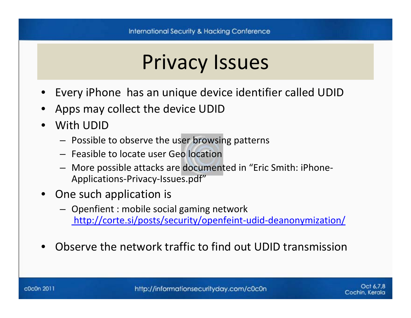#### Privacy Issues

- •Every iPhone has an unique device identifier called UDID
- •Apps may collect the device UDID
- • With UDID
	- Possible to observe the user browsing patterns
	- Feasible to locate user Geo location
	- More possible attacks are documented in "Eric Smith: iPhone‐ Applications-Privacy-Issues.pdf"
- One such application is
	- Openfient : mobile social gaming network [http://corte.si/posts/security/openfeint](http://corte.si/posts/security/openfeint-udid-deanonymization/)-udid-deanonymization/
- •Observe the network traffic to find out UDID transmission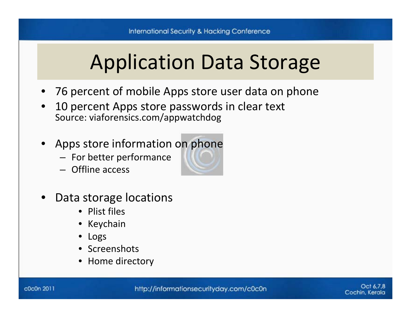## Application Data Storage

- 76 percent of mobile Apps store user data on phone
- • 10 percent Apps store passwords in clear text Source: viaforensics.com/appwatchdog
- Apps store information on phone
	- For better performance
	- Offline access
- •• Data storage locations
	- Plist files
	- Keychain
	- •Logs
	- Screenshots
	- Home directory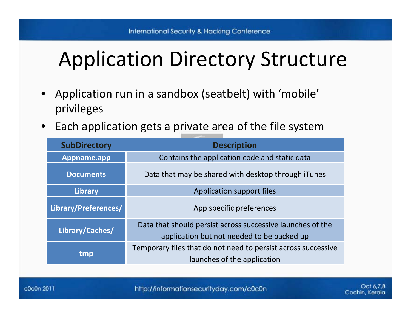# Application Directory Structure

- • Application run in <sup>a</sup> sandbox (seatbelt) with 'mobile' privileges
- $\bullet$  $\bullet$  Each application gets a private area of the file system

| <b>SubDirectory</b>  | <b>Description</b>                                                                                       |  |
|----------------------|----------------------------------------------------------------------------------------------------------|--|
| Appname.app          | Contains the application code and static data                                                            |  |
| <b>Documents</b>     | Data that may be shared with desktop through iTunes                                                      |  |
| <b>Library</b>       | <b>Application support files</b>                                                                         |  |
| Library/Preferences/ | App specific preferences                                                                                 |  |
| Library/Caches/      | Data that should persist across successive launches of the<br>application but not needed to be backed up |  |
| tmp                  | Temporary files that do not need to persist across successive<br>launches of the application             |  |

http://informationsecurityday.com/c0c0n

Cochin, Kerala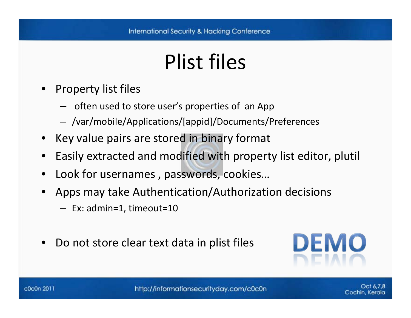# Plist files

- • Property list files
	- and the state of the conoften used to store user's properties of an App
	- /var/mobile/Applications/[appid]/Documents/Preferences
- Key value pairs are stored in binary format
- •Easily extracted and modified with property list editor, plutil
- •Look for usernames , passwords, cookies…
- • Apps may take Authentication/Authorization decisions
	- Ex: admin=1, timeout=10
- •Do not store clear text data in plist files



http://informationsecurityday.com/c0c0n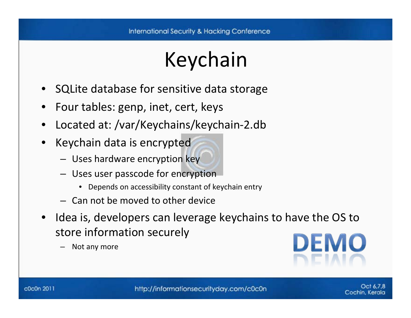# Keychain

- •SQLite database for sensitive data storage
- •Four tables: genp, inet, cert, keys
- •Located at: /var/Keychains/keychain‐2.db
- • Keychain data is encrypted
	- Uses hardware encryption key
	- Uses user passcode for encryption
		- •Depends on accessibility constant of keychain entry
	- Can not be moved to other device
- •• Idea is, developers can leverage keychains to have the OS to store information securely
	- Not any more

**DEMO** 

Cochin, Kerala

http://informationsecurityday.com/c0c0n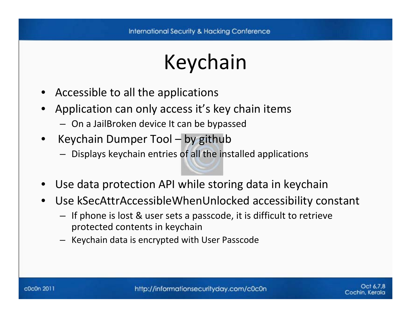# Keychain

- Accessible to all the applications
- • Application can only access it's key chain items
	- On <sup>a</sup> JailBroken device It can be bypassed
- $\bullet$  Keychain Dumper Tool – by github
	- Displays keychain entries of all the installed applications
- •Use data protection API while storing data in keychain
- • Use kSecAttrAccessibleWhenUnlocked accessibility constant
	- If phone is lost & user sets <sup>a</sup> passcode, it is difficult to retrieve protected contents in keychain
	- Keychain data is encrypted with User Passcode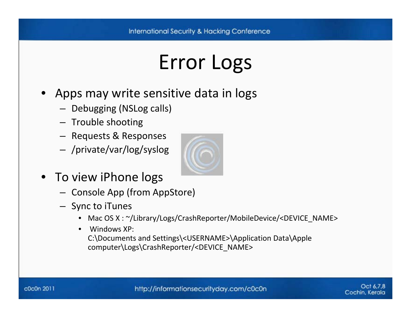# Error Logs

- Apps may write sensitive data in logs
	- Debugging (NSLog calls)
	- Trouble shooting
	- Requests & Responses
	- /private/var/log/syslog
- To view iPhone logs
	- Console App (from AppStore)
	- Sync to iTunes
		- •Mac OS X : ~/Library/Logs/CrashReporter/MobileDevice/<DEVICE\_NAME>
		- $\bullet$  Windows XP: C:\Documents and Settings\<USERNAME>\Application Data\Apple computer\Logs\CrashReporter/<DEVICE\_NAME>



http://informationsecurityday.com/c0c0n

Oct 6.7.8 Cochin, Kerala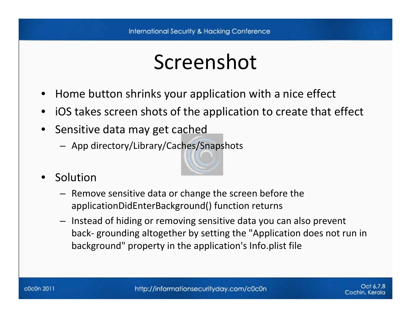#### Screenshot

- •Home button shrinks your application with <sup>a</sup> nice effect
- •iOS takes screen shots of the application to create that effect
- •• Sensitive data may get cached
	- App directory/Library/Caches/Snapshots
- • Solution
	- Remove sensitive data or change the screen before the applicationDidEnterBackground() function returns
	- Instead of hiding or removing sensitive data you can also prevent back‐ grounding altogether by setting the "Application does not run in background" property in the application's Info.plist file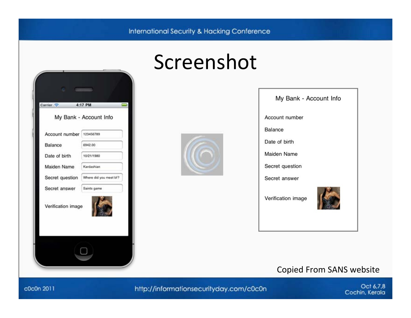

#### Screenshot





#### Copied From SANS website

c0c0n 2011

http://informationsecurityday.com/c0c0n

Oct 6,7,8 Cochin, Kerala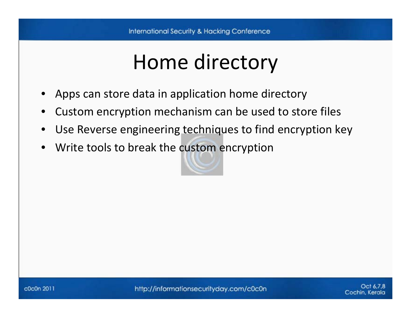# Home directory

- •Apps can store data in application home directory
- •Custom encryption mechanism can be used to store files
- •Use Reverse engineering techniques to find encryption key
- •Write tools to break the custom encryption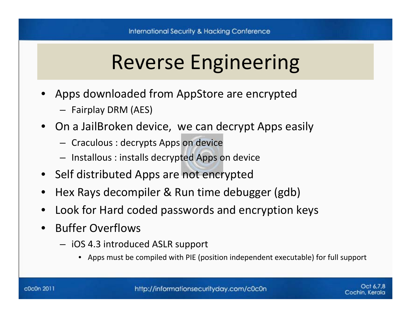# Reverse Engineering

- Apps downloaded from AppStore are encrypted
	- Fairplay DRM (AES)
- On <sup>a</sup> JailBroken device, we can decrypt Apps easily
	- Craculous : decrypts Apps on device
	- Installous : installs decrypted Apps on device
- Self distributed Apps are not encrypted
- •Hex Rays decompiler & Run time debugger (gdb)
- •Look for Hard coded passwords and encryption keys
- • Buffer Overflows
	- iOS 4.3 introduced ASLR support
		- •Apps must be compiled with PIE (position independent executable) for full support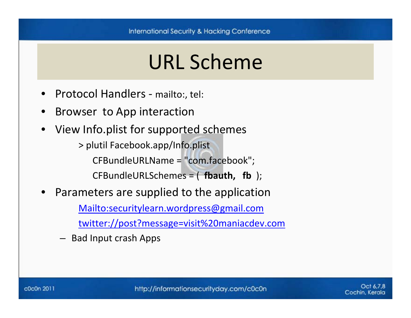#### URL Scheme

- •Protocol Handlers ‐ mailto:, tel:
- •• Browser to App interaction
- •View Info.plist for supported schemes

> plutil Facebook.app/Info.plist CFBundleURLName <sup>=</sup> "com.facebook"; CFBundleURLSchemes <sup>=</sup> ( **fbauth, fb** );

•Parameters are supplied to the application

[Mailto:securitylearn.wordpress@gmail.com](mailto:securitylearn.wordpress@gmail.com)

[twitter://post?message=visit%20maniacdev.com](mailto:securitylearn.wordpress@gmail.com)

– Bad Input crash Apps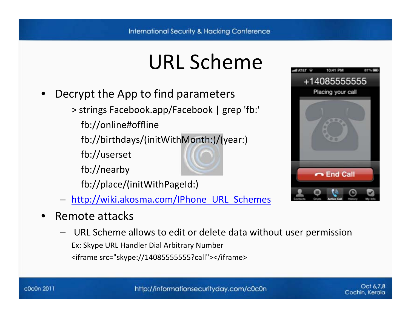# URL Scheme

- • Decrypt the App to find parameters
	- > strings Facebook.app/Facebook | grep 'fb:'
		- fb://online#offline
		- fb://birthdays/(initWithMonth:)/(year:)
		- fb://userset
		- fb://nearby
		- fb://place/(initWithPageId:)
	- http://wiki.akosma.com/IPhone URL Schemes
- •• Remote attacks
	- URL Scheme allows to edit or delete data without user permission Ex: Skype URL Handler Dial Arbitrary Number <iframe src="skype://14085555555?call"></iframe>

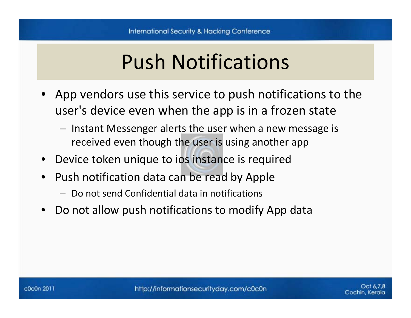# Push Notifications

- App vendors use this service to push notifications to the user's device even when the app is in <sup>a</sup> frozen state
	- and the state of the con- $-$  Instant Messenger alerts the user when a new message is received even though the user is using another app
- Device token unique to ios instance is required
- $\bullet$ • Push notification data can be read by Apple
	- Do not send Confidential data in notifications
- •Do not allow push notifications to modify App data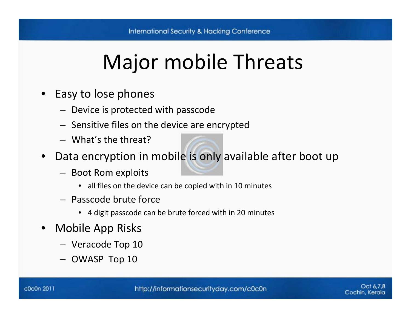# Major mobile Threats

- • Easy to lose phones
	- Device is protected with passcode
	- Sensitive files on the device are encrypted
	- What's the threat?
- $\bullet$  Data encryption in mobile is only available after boot up
	- Boot Rom exploits
		- all files on the device can be copied with in 10 minutes
	- Passcode brute force
		- 4 digit passcode can be brute forced with in 20 minutes
- • Mobile App Risks
	- Veracode Top 10
	- OWASP Top 10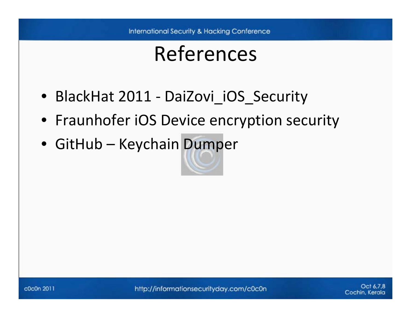#### References

- BlackHat 2011 ‐ DaiZovi\_iOS\_Security
- Fraunhofer iOS Device encryption security
- GitHub Keychain Dumper